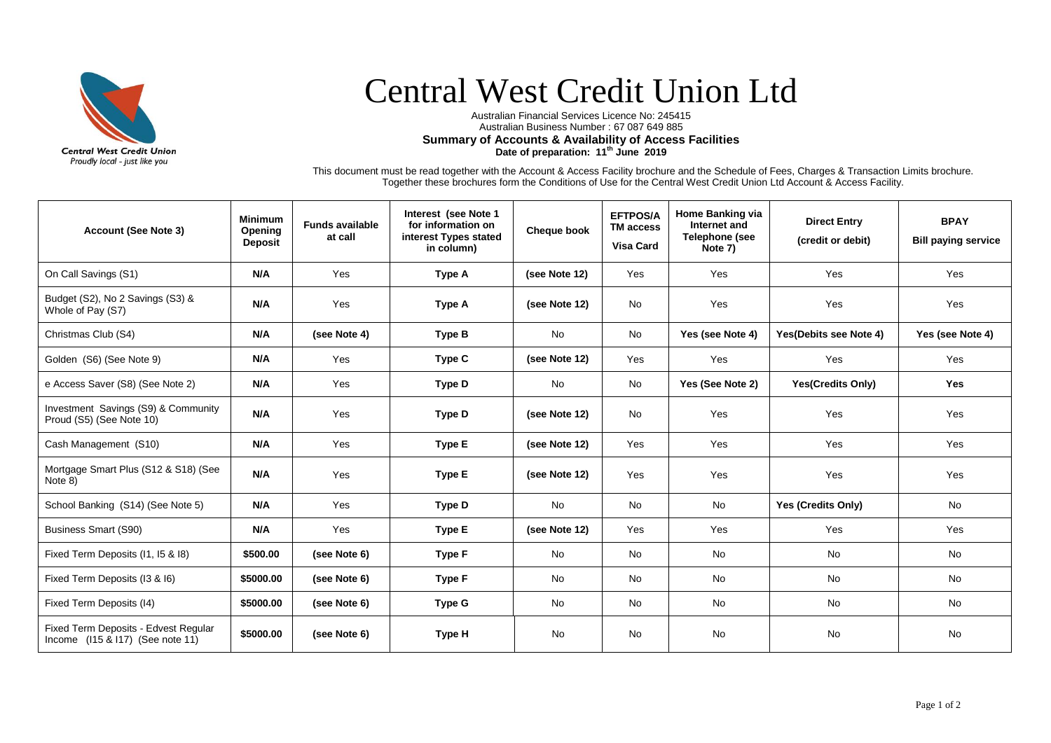

## Central West Credit Union Ltd

Australian Financial Services Licence No: 245415 Australian Business Number : 67 087 649 885 **Summary of Accounts & Availability of Access Facilities Date of preparation: 11 th June 2019**

This document must be read together with the Account & Access Facility brochure and the Schedule of Fees, Charges & Transaction Limits brochure. Together these brochures form the Conditions of Use for the Central West Credit Union Ltd Account & Access Facility.

| <b>Account (See Note 3)</b>                                              | <b>Minimum</b><br>Opening<br><b>Deposit</b> | <b>Funds available</b><br>at call | Interest (see Note 1<br>for information on<br>interest Types stated<br>in column) | Cheque book   | <b>EFTPOS/A</b><br><b>TM access</b><br><b>Visa Card</b> | <b>Home Banking via</b><br>Internet and<br>Telephone (see<br>Note 7) | <b>Direct Entry</b><br>(credit or debit) | <b>BPAY</b><br><b>Bill paying service</b> |
|--------------------------------------------------------------------------|---------------------------------------------|-----------------------------------|-----------------------------------------------------------------------------------|---------------|---------------------------------------------------------|----------------------------------------------------------------------|------------------------------------------|-------------------------------------------|
| On Call Savings (S1)                                                     | N/A                                         | Yes                               | Type A                                                                            | (see Note 12) | Yes                                                     | Yes                                                                  | Yes                                      | Yes                                       |
| Budget (S2), No 2 Savings (S3) &<br>Whole of Pay (S7)                    | N/A                                         | Yes                               | Type A                                                                            | (see Note 12) | <b>No</b>                                               | Yes                                                                  | Yes                                      | Yes                                       |
| Christmas Club (S4)                                                      | N/A                                         | (see Note 4)                      | <b>Type B</b>                                                                     | No            | No                                                      | Yes (see Note 4)                                                     | Yes(Debits see Note 4)                   | Yes (see Note 4)                          |
| Golden (S6) (See Note 9)                                                 | N/A                                         | Yes                               | Type C                                                                            | (see Note 12) | Yes                                                     | Yes                                                                  | Yes                                      | Yes                                       |
| e Access Saver (S8) (See Note 2)                                         | N/A                                         | Yes                               | <b>Type D</b>                                                                     | No            | <b>No</b>                                               | Yes (See Note 2)                                                     | <b>Yes(Credits Only)</b>                 | Yes                                       |
| Investment Savings (S9) & Community<br>Proud (S5) (See Note 10)          | N/A                                         | Yes                               | <b>Type D</b>                                                                     | (see Note 12) | No                                                      | Yes                                                                  | Yes                                      | Yes                                       |
| Cash Management (S10)                                                    | N/A                                         | Yes                               | Type E                                                                            | (see Note 12) | Yes                                                     | Yes                                                                  | Yes                                      | Yes                                       |
| Mortgage Smart Plus (S12 & S18) (See<br>Note 8)                          | N/A                                         | Yes                               | <b>Type E</b>                                                                     | (see Note 12) | Yes                                                     | Yes                                                                  | Yes                                      | Yes                                       |
| School Banking (S14) (See Note 5)                                        | N/A                                         | Yes                               | Type D                                                                            | No            | No                                                      | No                                                                   | Yes (Credits Only)                       | No                                        |
| Business Smart (S90)                                                     | N/A                                         | Yes                               | Type E                                                                            | (see Note 12) | Yes                                                     | Yes                                                                  | Yes                                      | Yes                                       |
| Fixed Term Deposits (I1, I5 & I8)                                        | \$500.00                                    | (see Note 6)                      | Type F                                                                            | No            | <b>No</b>                                               | No                                                                   | <b>No</b>                                | <b>No</b>                                 |
| Fixed Term Deposits (I3 & I6)                                            | \$5000.00                                   | (see Note 6)                      | Type F                                                                            | No            | <b>No</b>                                               | No                                                                   | No                                       | <b>No</b>                                 |
| Fixed Term Deposits (I4)                                                 | \$5000.00                                   | (see Note 6)                      | Type G                                                                            | No            | No                                                      | No                                                                   | No                                       | No                                        |
| Fixed Term Deposits - Edvest Regular<br>Income (I15 & I17) (See note 11) | \$5000.00                                   | (see Note 6)                      | Type H                                                                            | No            | <b>No</b>                                               | No                                                                   | <b>No</b>                                | No                                        |